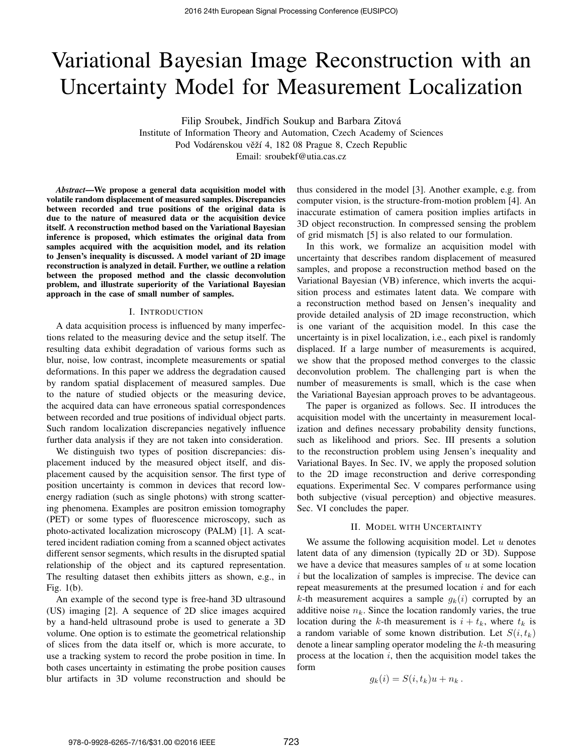# Variational Bayesian Image Reconstruction with an Uncertainty Model for Measurement Localization

Filip Sroubek, Jindřich Soukup and Barbara Zitová Institute of Information Theory and Automation, Czech Academy of Sciences

Pod Vodárenskou věží 4, 182 08 Prague 8, Czech Republic

Email: sroubekf@utia.cas.cz

*Abstract*—We propose a general data acquisition model with volatile random displacement of measured samples. Discrepancies between recorded and true positions of the original data is due to the nature of measured data or the acquisition device itself. A reconstruction method based on the Variational Bayesian inference is proposed, which estimates the original data from samples acquired with the acquisition model, and its relation to Jensen's inequality is discussed. A model variant of 2D image reconstruction is analyzed in detail. Further, we outline a relation between the proposed method and the classic deconvolution problem, and illustrate superiority of the Variational Bayesian approach in the case of small number of samples.

## I. INTRODUCTION

A data acquisition process is influenced by many imperfections related to the measuring device and the setup itself. The resulting data exhibit degradation of various forms such as blur, noise, low contrast, incomplete measurements or spatial deformations. In this paper we address the degradation caused by random spatial displacement of measured samples. Due to the nature of studied objects or the measuring device, the acquired data can have erroneous spatial correspondences between recorded and true positions of individual object parts. Such random localization discrepancies negatively influence further data analysis if they are not taken into consideration.

We distinguish two types of position discrepancies: displacement induced by the measured object itself, and displacement caused by the acquisition sensor. The first type of position uncertainty is common in devices that record lowenergy radiation (such as single photons) with strong scattering phenomena. Examples are positron emission tomography (PET) or some types of fluorescence microscopy, such as photo-activated localization microscopy (PALM) [1]. A scattered incident radiation coming from a scanned object activates different sensor segments, which results in the disrupted spatial relationship of the object and its captured representation. The resulting dataset then exhibits jitters as shown, e.g., in Fig. 1(b).

An example of the second type is free-hand 3D ultrasound (US) imaging [2]. A sequence of 2D slice images acquired by a hand-held ultrasound probe is used to generate a 3D volume. One option is to estimate the geometrical relationship of slices from the data itself or, which is more accurate, to use a tracking system to record the probe position in time. In both cases uncertainty in estimating the probe position causes blur artifacts in 3D volume reconstruction and should be thus considered in the model [3]. Another example, e.g. from computer vision, is the structure-from-motion problem [4]. An inaccurate estimation of camera position implies artifacts in 3D object reconstruction. In compressed sensing the problem of grid mismatch [5] is also related to our formulation.

In this work, we formalize an acquisition model with uncertainty that describes random displacement of measured samples, and propose a reconstruction method based on the Variational Bayesian (VB) inference, which inverts the acquisition process and estimates latent data. We compare with a reconstruction method based on Jensen's inequality and provide detailed analysis of 2D image reconstruction, which is one variant of the acquisition model. In this case the uncertainty is in pixel localization, i.e., each pixel is randomly displaced. If a large number of measurements is acquired, we show that the proposed method converges to the classic deconvolution problem. The challenging part is when the number of measurements is small, which is the case when the Variational Bayesian approach proves to be advantageous.

The paper is organized as follows. Sec. II introduces the acquisition model with the uncertainty in measurement localization and defines necessary probability density functions, such as likelihood and priors. Sec. III presents a solution to the reconstruction problem using Jensen's inequality and Variational Bayes. In Sec. IV, we apply the proposed solution to the 2D image reconstruction and derive corresponding equations. Experimental Sec. V compares performance using both subjective (visual perception) and objective measures. Sec. VI concludes the paper.

#### II. MODEL WITH UNCERTAINTY

We assume the following acquisition model. Let  $u$  denotes latent data of any dimension (typically 2D or 3D). Suppose we have a device that measures samples of  $u$  at some location  $i$  but the localization of samples is imprecise. The device can repeat measurements at the presumed location  $i$  and for each k-th measurement acquires a sample  $g_k(i)$  corrupted by an additive noise  $n_k$ . Since the location randomly varies, the true location during the k-th measurement is  $i + t_k$ , where  $t_k$  is a random variable of some known distribution. Let  $S(i, t_k)$ denote a linear sampling operator modeling the  $k$ -th measuring process at the location  $i$ , then the acquisition model takes the form

$$
g_k(i) = S(i, t_k)u + n_k.
$$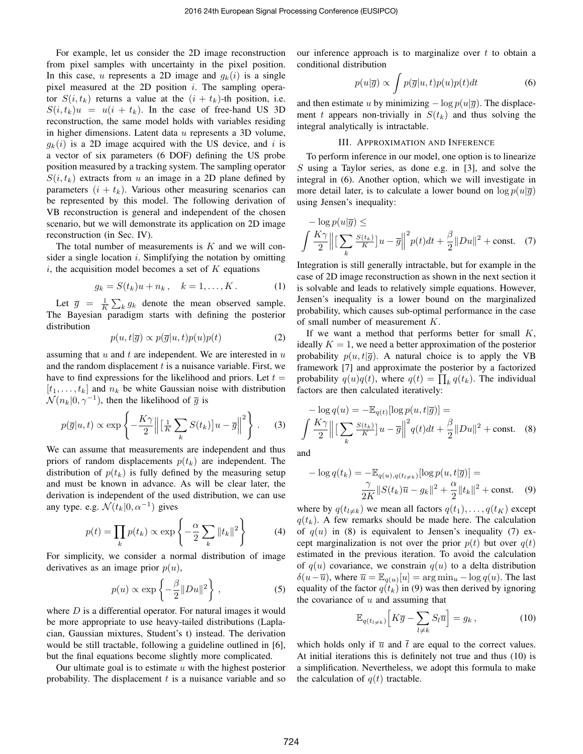For example, let us consider the 2D image reconstruction from pixel samples with uncertainty in the pixel position. In this case, u represents a 2D image and  $q_k(i)$  is a single pixel measured at the 2D position  $i$ . The sampling operator  $S(i, t_k)$  returns a value at the  $(i + t_k)$ -th position, i.e.  $S(i, t_k)u = u(i + t_k)$ . In the case of free-hand US 3D reconstruction, the same model holds with variables residing in higher dimensions. Latent data u represents a 3D volume,  $g_k(i)$  is a 2D image acquired with the US device, and i is a vector of six parameters (6 DOF) defining the US probe position measured by a tracking system. The sampling operator  $S(i, t_k)$  extracts from u an image in a 2D plane defined by parameters  $(i + t_k)$ . Various other measuring scenarios can be represented by this model. The following derivation of VB reconstruction is general and independent of the chosen scenario, but we will demonstrate its application on 2D image reconstruction (in Sec. IV).

The total number of measurements is  $K$  and we will consider a single location  $i$ . Simplifying the notation by omitting  $i$ , the acquisition model becomes a set of  $K$  equations

$$
g_k = S(t_k)u + n_k, \quad k = 1, ..., K.
$$
 (1)

Let  $\overline{g} = \frac{1}{K} \sum_{k} g_k$  denote the mean observed sample. The Bayesian paradigm starts with defining the posterior distribution

$$
p(u, t | \overline{g}) \propto p(\overline{g}|u, t)p(u)p(t)
$$
\n(2)

assuming that  $u$  and  $t$  are independent. We are interested in  $u$ and the random displacement  $t$  is a nuisance variable. First, we have to find expressions for the likelihood and priors. Let  $t =$  $[t_1, \ldots, t_k]$  and  $n_k$  be white Gaussian noise with distribution  $\mathcal{N}(n_k|0, \gamma^{-1})$ , then the likelihood of  $\bar{g}$  is

$$
p(\overline{g}|u,t) \propto \exp\left\{-\frac{K\gamma}{2}\left\|\left[\frac{1}{K}\sum_{k}S(t_k)\right]u-\overline{g}\right\|^2\right\}.
$$
 (3)

We can assume that measurements are independent and thus priors of random displacements  $p(t_k)$  are independent. The distribution of  $p(t_k)$  is fully defined by the measuring setup and must be known in advance. As will be clear later, the derivation is independent of the used distribution, we can use any type. e.g.  $\mathcal{N}(t_k|0, \alpha^{-1})$  gives

$$
p(t) = \prod_{k} p(t_k) \propto \exp\left\{-\frac{\alpha}{2} \sum_{k} ||t_k||^2\right\} \tag{4}
$$

For simplicity, we consider a normal distribution of image derivatives as an image prior  $p(u)$ ,

$$
p(u) \propto \exp\left\{-\frac{\beta}{2} \|Du\|^2\right\},\tag{5}
$$

where  $D$  is a differential operator. For natural images it would be more appropriate to use heavy-tailed distributions (Laplacian, Gaussian mixtures, Student's t) instead. The derivation would be still tractable, following a guideline outlined in [6], but the final equations become slightly more complicated.

Our ultimate goal is to estimate  $u$  with the highest posterior probability. The displacement  $t$  is a nuisance variable and so our inference approach is to marginalize over  $t$  to obtain a conditional distribution

$$
p(u|\overline{g}) \propto \int p(\overline{g}|u,t)p(u)p(t)dt \tag{6}
$$

and then estimate u by minimizing  $-\log p(u|\overline{g})$ . The displacement t appears non-trivially in  $S(t_k)$  and thus solving the integral analytically is intractable.

# III. APPROXIMATION AND INFERENCE

To perform inference in our model, one option is to linearize S using a Taylor series, as done e.g. in [3], and solve the integral in (6). Another option, which we will investigate in more detail later, is to calculate a lower bound on  $\log p(u|\overline{q})$ using Jensen's inequality:

$$
-\log p(u|\overline{g}) \le
$$
  

$$
\int \frac{K\gamma}{2} \left\| \left[ \sum_{k} \frac{S(t_k)}{K} \right] u - \overline{g} \right\|^2 p(t) dt + \frac{\beta}{2} \|Du\|^2 + \text{const.}
$$
 (7)

Integration is still generally intractable, but for example in the case of 2D image reconstruction as shown in the next section it is solvable and leads to relatively simple equations. However, Jensen's inequality is a lower bound on the marginalized probability, which causes sub-optimal performance in the case of small number of measurement K.

If we want a method that performs better for small  $K$ , ideally  $K = 1$ , we need a better approximation of the posterior probability  $p(u, t | \bar{g})$ . A natural choice is to apply the VB framework [7] and approximate the posterior by a factorized probability  $q(u)q(t)$ , where  $q(t) = \prod_k q(t_k)$ . The individual factors are then calculated iteratively:

$$
-\log q(u) = -\mathbb{E}_{q(t)}[\log p(u, t|\overline{g})] =
$$
  

$$
\int \frac{K\gamma}{2} \left\| \left[ \sum_{k} \frac{S(t_k)}{K} \right] u - \overline{g} \right\|^2 q(t) dt + \frac{\beta}{2} \|Du\|^2 + \text{const.}
$$
 (8)

and

$$
-\log q(t_k) = -\mathbb{E}_{q(u),q(t_{l\neq k})}[\log p(u,t|\overline{g})] =
$$

$$
\frac{\gamma}{2K} ||S(t_k)\overline{u} - g_k||^2 + \frac{\alpha}{2} ||t_k||^2 + \text{const.} \quad (9)
$$

where by  $q(t_{l\neq k})$  we mean all factors  $q(t_1), \ldots, q(t_K)$  except  $q(t_k)$ . A few remarks should be made here. The calculation of  $q(u)$  in (8) is equivalent to Jensen's inequality (7) except marginalization is not over the prior  $p(t)$  but over  $q(t)$ estimated in the previous iteration. To avoid the calculation of  $q(u)$  covariance, we constrain  $q(u)$  to a delta distribution  $\delta(u-\overline{u})$ , where  $\overline{u} = \mathbb{E}_{q(u)}[u] = \arg \min_u - \log q(u)$ . The last equality of the factor  $q(t_k)$  in (9) was then derived by ignoring the covariance of  $u$  and assuming that

$$
\mathbb{E}_{q(t_{l\neq k})}\left[K\overline{g} - \sum_{l\neq k} S_l \overline{u}\right] = g_k ,\qquad (10)
$$

which holds only if  $\overline{u}$  and  $\overline{t}$  are equal to the correct values. At initial iterations this is definitely not true and thus (10) is a simplification. Nevertheless, we adopt this formula to make the calculation of  $q(t)$  tractable.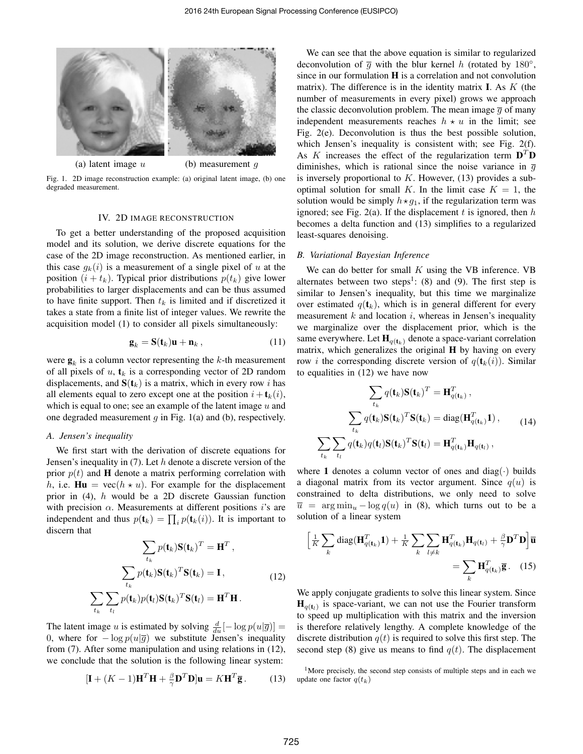

Fig. 1. 2D image reconstruction example: (a) original latent image, (b) one degraded measurement.

## IV. 2D IMAGE RECONSTRUCTION

To get a better understanding of the proposed acquisition model and its solution, we derive discrete equations for the case of the 2D image reconstruction. As mentioned earlier, in this case  $g_k(i)$  is a measurement of a single pixel of u at the position  $(i + t_k)$ . Typical prior distributions  $p(t_k)$  give lower probabilities to larger displacements and can be thus assumed to have finite support. Then  $t_k$  is limited and if discretized it takes a state from a finite list of integer values. We rewrite the acquisition model (1) to consider all pixels simultaneously:

$$
\mathbf{g}_k = \mathbf{S}(\mathbf{t}_k)\mathbf{u} + \mathbf{n}_k \,, \tag{11}
$$

were  $\mathbf{g}_k$  is a column vector representing the k-th measurement of all pixels of  $u$ ,  $\mathbf{t}_k$  is a corresponding vector of 2D random displacements, and  $S(t_k)$  is a matrix, which in every row i has all elements equal to zero except one at the position  $i + t_k(i)$ , which is equal to one; see an example of the latent image  $u$  and one degraded measurement  $g$  in Fig. 1(a) and (b), respectively.

#### *A. Jensen's inequality*

We first start with the derivation of discrete equations for Jensen's inequality in  $(7)$ . Let h denote a discrete version of the prior  $p(t)$  and **H** denote a matrix performing correlation with h, i.e.  $\mathbf{Hu} = \text{vec}(h \star u)$ . For example for the displacement prior in (4), h would be a 2D discrete Gaussian function with precision  $\alpha$ . Measurements at different positions i's are independent and thus  $p(\mathbf{t}_k) = \prod_i p(\mathbf{t}_k(i))$ . It is important to discern that

$$
\sum_{t_k} p(\mathbf{t}_k) \mathbf{S}(\mathbf{t}_k)^T = \mathbf{H}^T,
$$

$$
\sum_{t_k} p(\mathbf{t}_k) \mathbf{S}(\mathbf{t}_k)^T \mathbf{S}(\mathbf{t}_k) = \mathbf{I},
$$
(12)
$$
\sum_{t_k} \sum_{t_l} p(\mathbf{t}_k) p(\mathbf{t}_l) \mathbf{S}(\mathbf{t}_k)^T \mathbf{S}(\mathbf{t}_l) = \mathbf{H}^T \mathbf{H}.
$$

The latent image u is estimated by solving  $\frac{d}{du}[-\log p(u|\overline{g})] =$ 0, where for  $-\log p(u|\overline{g})$  we substitute Jensen's inequality from (7). After some manipulation and using relations in (12), we conclude that the solution is the following linear system:

$$
[\mathbf{I} + (K - 1)\mathbf{H}^T \mathbf{H} + \frac{\beta}{\gamma} \mathbf{D}^T \mathbf{D}] \mathbf{u} = K \mathbf{H}^T \overline{\mathbf{g}}.
$$
 (13)

We can see that the above equation is similar to regularized deconvolution of  $\overline{g}$  with the blur kernel h (rotated by 180°, since in our formulation  $H$  is a correlation and not convolution matrix). The difference is in the identity matrix  $\bf{I}$ . As  $K$  (the number of measurements in every pixel) grows we approach the classic deconvolution problem. The mean image  $\overline{g}$  of many independent measurements reaches  $h \star u$  in the limit; see Fig. 2(e). Deconvolution is thus the best possible solution, which Jensen's inequality is consistent with; see Fig. 2(f). As K increases the effect of the regularization term  $D^T D$ diminishes, which is rational since the noise variance in  $\overline{g}$ is inversely proportional to  $K$ . However, (13) provides a suboptimal solution for small K. In the limit case  $K = 1$ , the solution would be simply  $h \star g_1$ , if the regularization term was ignored; see Fig. 2(a). If the displacement t is ignored, then  $h$ becomes a delta function and (13) simplifies to a regularized least-squares denoising.

# *B. Variational Bayesian Inference*

We can do better for small  $K$  using the VB inference. VB alternates between two steps<sup>1</sup>: (8) and (9). The first step is similar to Jensen's inequality, but this time we marginalize over estimated  $q(t_k)$ , which is in general different for every measurement  $k$  and location  $i$ , whereas in Jensen's inequality we marginalize over the displacement prior, which is the same everywhere. Let  $\mathbf{H}_{q(t_k)}$  denote a space-variant correlation matrix, which generalizes the original H by having on every row *i* the corresponding discrete version of  $q(\mathbf{t}_k(i))$ . Similar to equalities in (12) we have now

$$
\sum_{t_k} q(\mathbf{t}_k) \mathbf{S}(\mathbf{t}_k)^T = \mathbf{H}_{q(\mathbf{t}_k)}^T,
$$
\n
$$
\sum_{t_k} q(\mathbf{t}_k) \mathbf{S}(\mathbf{t}_k)^T \mathbf{S}(\mathbf{t}_k) = \text{diag}(\mathbf{H}_{q(\mathbf{t}_k)}^T \mathbf{1}),
$$
\n
$$
\sum_{t_k} \sum_{t_l} q(\mathbf{t}_k) q(\mathbf{t}_l) \mathbf{S}(\mathbf{t}_k)^T \mathbf{S}(\mathbf{t}_l) = \mathbf{H}_{q(\mathbf{t}_k)}^T \mathbf{H}_{q(\mathbf{t}_l)},
$$
\n(14)

where 1 denotes a column vector of ones and diag( $\cdot$ ) builds a diagonal matrix from its vector argument. Since  $q(u)$  is constrained to delta distributions, we only need to solve  $\overline{u}$  = arg min<sub>u</sub> – log q(u) in (8), which turns out to be a solution of a linear system

$$
\left[\frac{1}{K}\sum_{k}\text{diag}(\mathbf{H}_{q(\mathbf{t}_{k})}^{T}\mathbf{1}) + \frac{1}{K}\sum_{k}\sum_{l\neq k}\mathbf{H}_{q(\mathbf{t}_{k})}^{T}\mathbf{H}_{q(\mathbf{t}_{l})} + \frac{\beta}{\gamma}\mathbf{D}^{T}\mathbf{D}\right]\overline{\mathbf{u}}
$$
\n
$$
= \sum_{k}\mathbf{H}_{q(\mathbf{t}_{k})}^{T}\overline{\mathbf{g}}.\quad(15)
$$

We apply conjugate gradients to solve this linear system. Since  $\mathbf{H}_{q(t_l)}$  is space-variant, we can not use the Fourier transform to speed up multiplication with this matrix and the inversion is therefore relatively lengthy. A complete knowledge of the discrete distribution  $q(t)$  is required to solve this first step. The second step (8) give us means to find  $q(t)$ . The displacement

 $1$ More precisely, the second step consists of multiple steps and in each we update one factor  $q(t_k)$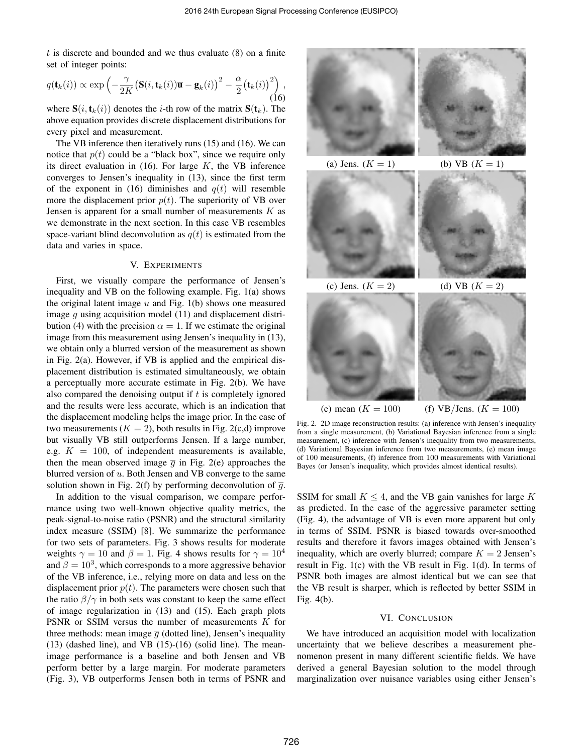$t$  is discrete and bounded and we thus evaluate  $(8)$  on a finite set of integer points:

$$
q(\mathbf{t}_k(i)) \propto \exp\left(-\frac{\gamma}{2K} \big(\mathbf{S}(i,\mathbf{t}_k(i))\overline{\mathbf{u}} - \mathbf{g}_k(i)\big)^2 - \frac{\alpha}{2} \big(\mathbf{t}_k(i)\big)^2\right),\tag{16}
$$

where  $S(i, t_k(i))$  denotes the *i*-th row of the matrix  $S(t_k)$ . The above equation provides discrete displacement distributions for every pixel and measurement.

The VB inference then iteratively runs (15) and (16). We can notice that  $p(t)$  could be a "black box", since we require only its direct evaluation in  $(16)$ . For large K, the VB inference converges to Jensen's inequality in (13), since the first term of the exponent in (16) diminishes and  $q(t)$  will resemble more the displacement prior  $p(t)$ . The superiority of VB over Jensen is apparent for a small number of measurements  $K$  as we demonstrate in the next section. In this case VB resembles space-variant blind deconvolution as  $q(t)$  is estimated from the data and varies in space.

#### V. EXPERIMENTS

First, we visually compare the performance of Jensen's inequality and VB on the following example. Fig. 1(a) shows the original latent image  $u$  and Fig. 1(b) shows one measured image  $g$  using acquisition model (11) and displacement distribution (4) with the precision  $\alpha = 1$ . If we estimate the original image from this measurement using Jensen's inequality in (13), we obtain only a blurred version of the measurement as shown in Fig. 2(a). However, if VB is applied and the empirical displacement distribution is estimated simultaneously, we obtain a perceptually more accurate estimate in Fig. 2(b). We have also compared the denoising output if  $t$  is completely ignored and the results were less accurate, which is an indication that the displacement modeling helps the image prior. In the case of two measurements  $(K = 2)$ , both results in Fig. 2(c,d) improve but visually VB still outperforms Jensen. If a large number, e.g.  $K = 100$ , of independent measurements is available, then the mean observed image  $\overline{q}$  in Fig. 2(e) approaches the blurred version of  $u$ . Both Jensen and VB converge to the same solution shown in Fig. 2(f) by performing deconvolution of  $\overline{g}$ .

In addition to the visual comparison, we compare performance using two well-known objective quality metrics, the peak-signal-to-noise ratio (PSNR) and the structural similarity index measure (SSIM) [8]. We summarize the performance for two sets of parameters. Fig. 3 shows results for moderate weights  $\gamma = 10$  and  $\beta = 1$ . Fig. 4 shows results for  $\gamma = 10^4$ and  $\beta = 10^3$ , which corresponds to a more aggressive behavior of the VB inference, i.e., relying more on data and less on the displacement prior  $p(t)$ . The parameters were chosen such that the ratio  $\beta/\gamma$  in both sets was constant to keep the same effect of image regularization in (13) and (15). Each graph plots PSNR or SSIM versus the number of measurements K for three methods: mean image  $\overline{q}$  (dotted line), Jensen's inequality  $(13)$  (dashed line), and VB  $(15)-(16)$  (solid line). The meanimage performance is a baseline and both Jensen and VB perform better by a large margin. For moderate parameters (Fig. 3), VB outperforms Jensen both in terms of PSNR and



Fig. 2. 2D image reconstruction results: (a) inference with Jensen's inequality from a single measurement, (b) Variational Bayesian inference from a single measurement, (c) inference with Jensen's inequality from two measurements, (d) Variational Bayesian inference from two measurements, (e) mean image of 100 measurements, (f) inference from 100 measurements with Variational Bayes (or Jensen's inequality, which provides almost identical results).

SSIM for small  $K \leq 4$ , and the VB gain vanishes for large K as predicted. In the case of the aggressive parameter setting (Fig. 4), the advantage of VB is even more apparent but only in terms of SSIM. PSNR is biased towards over-smoothed results and therefore it favors images obtained with Jensen's inequality, which are overly blurred; compare  $K = 2$  Jensen's result in Fig. 1(c) with the VB result in Fig. 1(d). In terms of PSNR both images are almost identical but we can see that the VB result is sharper, which is reflected by better SSIM in Fig. 4(b).

# VI. CONCLUSION

We have introduced an acquisition model with localization uncertainty that we believe describes a measurement phenomenon present in many different scientific fields. We have derived a general Bayesian solution to the model through marginalization over nuisance variables using either Jensen's